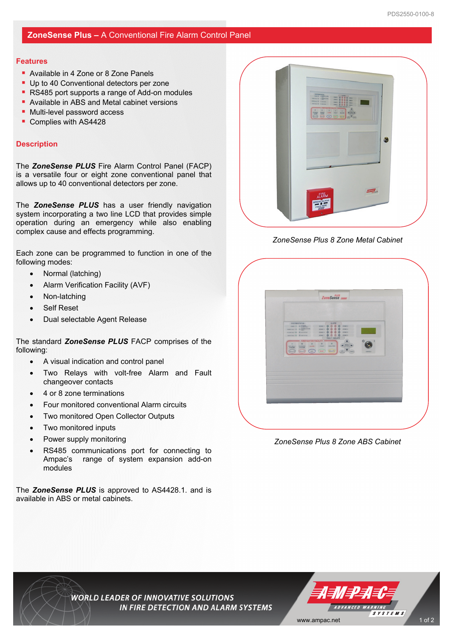## **ZoneSense Plus –** A Conventional Fire Alarm Control Panel

#### **Features**

- Available in 4 Zone or 8 Zone Panels
- Up to 40 Conventional detectors per zone
- RS485 port supports a range of Add-on modules
- **Available in ABS and Metal cabinet versions**
- Multi-level password access
- Complies with AS4428

## **Description**

The *ZoneSense PLUS* Fire Alarm Control Panel (FACP) is a versatile four or eight zone conventional panel that allows up to 40 conventional detectors per zone.

The *ZoneSense PLUS* has a user friendly navigation system incorporating a two line LCD that provides simple operation during an emergency while also enabling complex cause and effects programming.

Each zone can be programmed to function in one of the following modes:

- Normal (latching)
- Alarm Verification Facility (AVF)
- Non-latching
- Self Reset
- Dual selectable Agent Release

The standard *ZoneSense PLUS* FACP comprises of the following:

- A visual indication and control panel
- Two Relays with volt-free Alarm and Fault changeover contacts
- 4 or 8 zone terminations
- Four monitored conventional Alarm circuits
- Two monitored Open Collector Outputs
- Two monitored inputs
- Power supply monitoring
- RS485 communications port for connecting to Ampac's range of system expansion add-on modules

The *ZoneSense PLUS* is approved to AS4428.1. and is available in ABS or metal cabinets.



 *ZoneSense Plus 8 Zone Metal Cabinet* 



 *ZoneSense Plus 8 Zone ABS Cabinet* 

**WORLD LEADER OF INNOVATIVE SOLUTIONS** IN FIRE DETECTION AND ALARM SYSTEMS